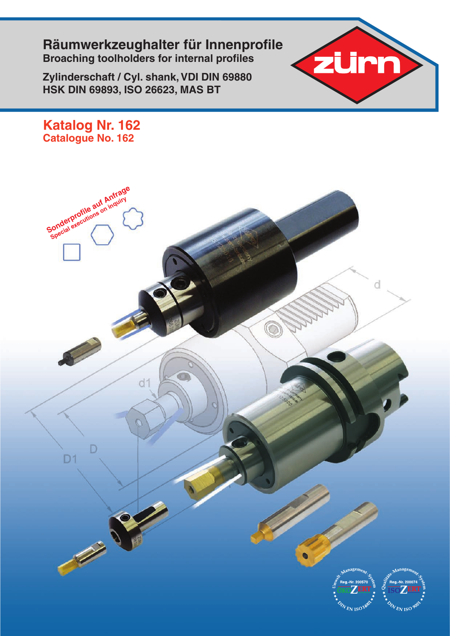**Räumwerkzeughalter für Innenprofile Broaching toolholders for internal profiles**

**Zylinderschaft / Cyl. shank, VDI DIN 69880 HSK DIN 69893, ISO 26623, MAS BT**



**Katalog Nr. 162 Catalogue No. 162**

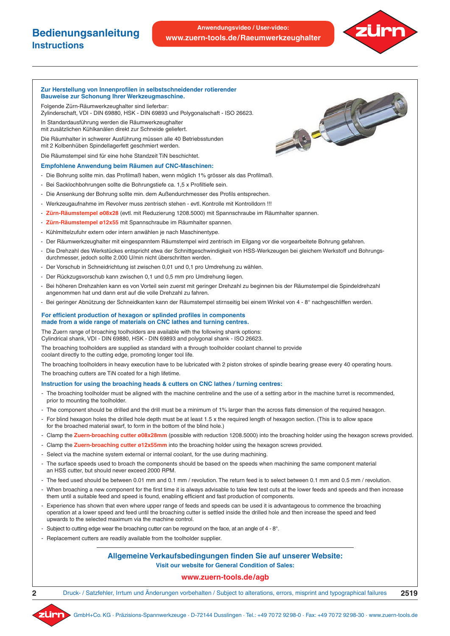### **Bedienungsanleitung Instructions**

**Anwendungsvideo / User-video: www.zuern-tools.de/Raeumwerkzeughalter**

#### **Zur Herstellung von Innenprofilen in selbstschneidender rotierender Bauweise zur Schonung Ihrer Werkzeugmaschine.**

Folgende Zürn-Räumwerkzeughalter sind lieferbar:

Zylinderschaft, VDI - DIN 69880, HSK - DIN 69893 und Polygonalschaft - ISO 26623.

In Standardausführung werden die Räumwerkzeughalter mit zusätzlichen Kühlkanälen direkt zur Schneide geliefert.

Die Räumhalter in schwerer Ausführung müssen alle 40 Betriebsstunden mit 2 Kolbenhüben Spindellagerfett geschmiert werden.

Die Räumstempel sind für eine hohe Standzeit TiN beschichtet.

#### **Empfohlene Anwendung beim Räumen auf CNC-Maschinen:**

- Die Bohrung sollte min. das Profilmaß haben, wenn möglich 1% grösser als das Profilmaß.
- Bei Sacklochbohrungen sollte die Bohrungstiefe ca. 1,5 x Profiltiefe sein.
- Die Ansenkung der Bohrung sollte min. dem Außendurchmesser des Profils entsprechen.
- Werkzeugaufnahme im Revolver muss zentrisch stehen evtl. Kontrolle mit Kontrolldorn !!!
- **Zürn-Räumstempel ø08x28** (evtl. mit Reduzierung 1208.5000) mit Spannschraube im Räumhalter spannen.
- **Zürn-Räumstempel ø12x55** mit Spannschraube im Räumhalter spannen.
- Kühlmittelzufuhr extern oder intern anwählen je nach Maschinentype.
- Der Räumwerkzeughalter mit eingespanntem Räumstempel wird zentrisch im Eilgang vor die vorgearbeitete Bohrung gefahren.
- Die Drehzahl des Werkstückes entspricht etwa der Schnittgeschwindigkeit von HSS-Werkzeugen bei gleichem Werkstoff und Bohrungsdurchmesser, jedoch sollte 2.000 U/min nicht überschritten werden.
- Der Vorschub in Schneidrichtung ist zwischen 0,01 und 0,1 pro Umdrehung zu wählen.
- Der Rückzugsvorschub kann zwischen 0,1 und 0,5 mm pro Umdrehung liegen.
- Bei höheren Drehzahlen kann es von Vorteil sein zuerst mit geringer Drehzahl zu beginnen bis der Räumstempel die Spindeldrehzahl angenommen hat und dann erst auf die volle Drehzahl zu fahren.
- Bei geringer Abnützung der Schneidkanten kann der Räumstempel stirnseitig bei einem Winkel von 4 8° nachgeschliffen werden.

#### **For efficient production of hexagon or splinded profiles in components made from a wide range of materials on CNC lathes and turning centres.**

The Zuern range of broaching toolholders are available with the following shank options:

Cylindrical shank, VDI - DIN 69880, HSK - DIN 69893 and polygonal shank - ISO 26623.

The broaching toolholders are supplied as standard with a through toolholder coolant channel to provide coolant directly to the cutting edge, promoting longer tool life.

The broaching toolholders in heavy execution have to be lubricated with 2 piston strokes of spindle bearing grease every 40 operating hours. The broaching cutters are TiN coated for a high lifetime.

#### **Instruction for using the broaching heads & cutters on CNC lathes / turning centres:**

- The broaching toolholder must be aligned with the machine centreline and the use of a setting arbor in the machine turret is recommended, prior to mounting the toolholder.
- The component should be drilled and the drill must be a minimum of 1% larger than the across flats dimension of the required hexagon.
- For blind hexagon holes the drilled hole depth must be at least 1.5 x the required length of hexagon section. (This is to allow space for the broached material swarf, to form in the bottom of the blind hole.)
- Clamp the **Zuern-broaching cutter ø08x28mm** (possible with reduction 1208.5000) into the broaching holder using the hexagon screws provided.
- Clamp the **Zuern-broaching cutter ø12x55mm** into the broaching holder using the hexagon screws provided.
- Select via the machine system external or internal coolant, for the use during machining.
- The surface speeds used to broach the components should be based on the speeds when machining the same component material an HSS cutter, but should never exceed 2000 RPM.
- The feed used should be between 0.01 mm and 0.1 mm / revolution. The return feed is to select between 0.1 mm and 0.5 mm / revolution.
- When broaching a new component for the first time it is always advisable to take few test cuts at the lower feeds and speeds and then increase them until a suitable feed and speed is found, enabling efficient and fast production of components.
- Experience has shown that even where upper range of feeds and speeds can be used it is advantageous to commence the broaching operation at a lower speed and feed until the broaching cutter is settled inside the drilled hole and then increase the speed and feed upwards to the selected maximum via the machine control.
- Subject to cutting edge wear the broaching cutter can be reground on the face, at an angle of 4 8°.
- Replacement cutters are readily available from the toolholder supplier.

## **Allgemeine Verkaufsbedingungen finden Sie auf unserer Website:**

**Visit our website for General Condition of Sales:**

### **www.zuern-tools.de/agb**

Druck- / Satzfehler, Irrtum und Änderungen vorbehalten / Subject to alterations, errors, misprint and typographical failures **2519**



**2**

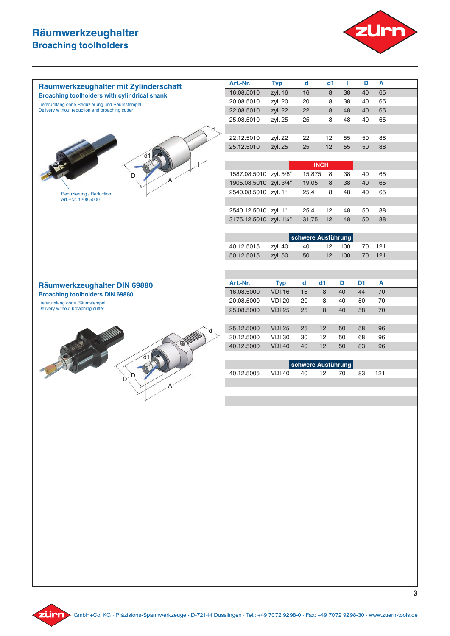

|                                                                                                  | Art.-Nr.                 | <b>Typ</b>                     | $\mathbf d$        | d1          | Т        | D              | A        |   |
|--------------------------------------------------------------------------------------------------|--------------------------|--------------------------------|--------------------|-------------|----------|----------------|----------|---|
| Räumwerkzeughalter mit Zylinderschaft                                                            | 16.08.5010               | zyl. 16                        | 16                 | 8           | 38       | 40             | 65       |   |
| <b>Broaching toolholders with cylindrical shank</b>                                              | 20.08.5010               | zyl. 20                        | 20                 | 8           | 38       | 40             | 65       |   |
| Lieferumfang ohne Reduzierung und Räumstempel<br>Delivery without reduction and broaching cutter | 22.08.5010               | zyl. 22                        | 22                 | 8           | 48       | 40             | 65       |   |
|                                                                                                  | 25.08.5010               | zyl. 25                        | 25                 | 8           | 48       | 40             | 65       |   |
|                                                                                                  |                          |                                |                    |             |          |                |          |   |
|                                                                                                  | 22.12.5010               | zyl. 22                        | 22                 | 12          | 55       | 50             | 88       |   |
|                                                                                                  | 25.12.5010               | zyl. 25                        | 25                 | 12          | 55       | 50             | 88       |   |
|                                                                                                  |                          |                                |                    |             |          |                |          |   |
|                                                                                                  |                          |                                |                    | <b>INCH</b> |          |                |          |   |
| D                                                                                                | 1587.08.5010 zyl. 5/8"   |                                | 15,875             | 8           | 38       | 40             | 65       |   |
|                                                                                                  | 1905.08.5010 zyl. 3/4"   |                                | 19,05              | 8           | 38       | 40             | 65       |   |
| Reduzierung / Reduction                                                                          | 2540.08.5010 zyl. 1"     |                                | 25,4               | 8           | 48       | 40             | 65       |   |
| Art .-- Nr. 1208.5000                                                                            |                          |                                |                    |             |          |                |          |   |
|                                                                                                  | 2540.12.5010 zyl. 1"     |                                | 25,4               | 12          | 48       | 50             | 88       |   |
|                                                                                                  | 3175.12.5010 zyl. 11/4"  |                                | 31,75              | 12          | 48       | 50             | 88       |   |
|                                                                                                  |                          |                                |                    |             |          |                |          |   |
|                                                                                                  |                          |                                | schwere Ausführung |             |          |                |          |   |
|                                                                                                  | 40.12.5015               | zyl. 40                        | 40                 | 12          | 100      | 70             | 121      |   |
|                                                                                                  | 50.12.5015               | zyl. 50                        | 50                 | 12          | 100      | 70             | 121      |   |
|                                                                                                  |                          |                                |                    |             |          |                |          |   |
|                                                                                                  |                          |                                |                    |             |          |                |          |   |
| Räumwerkzeughalter DIN 69880                                                                     | Art.-Nr.                 | <b>Typ</b>                     | $\mathbf d$        | d1          | D        | D <sub>1</sub> | A        |   |
| <b>Broaching toolholders DIN 69880</b>                                                           | 16.08.5000               | <b>VDI 16</b>                  | 16<br>20           | 8           | 40<br>40 | 44             | 70<br>70 |   |
| Lieferumfang ohne Räumstempel<br>Delivery without broaching cutter                               | 20.08.5000<br>25.08.5000 | <b>VDI 20</b><br><b>VDI 25</b> | 25                 | 8<br>8      | 40       | 50<br>58       | 70       |   |
|                                                                                                  |                          |                                |                    |             |          |                |          |   |
|                                                                                                  | 25.12.5000               | <b>VDI 25</b>                  | 25                 | 12          | 50       | 58             | 96       |   |
|                                                                                                  | 30.12.5000               | <b>VDI 30</b>                  | 30                 | 12          | 50       | 68             | 96       |   |
|                                                                                                  | 40.12.5000               | <b>VDI 40</b>                  | 40                 | 12          | 50       | 83             | 96       |   |
|                                                                                                  |                          |                                |                    |             |          |                |          |   |
|                                                                                                  |                          |                                | schwere Ausführung |             |          |                |          |   |
| D                                                                                                | 40.12.5005               | <b>VDI 40</b>                  | 40                 | 12          | 70       | 83             | 121      |   |
| D <sub>1</sub>                                                                                   |                          |                                |                    |             |          |                |          |   |
|                                                                                                  |                          |                                |                    |             |          |                |          |   |
|                                                                                                  |                          |                                |                    |             |          |                |          |   |
|                                                                                                  |                          |                                |                    |             |          |                |          |   |
|                                                                                                  |                          |                                |                    |             |          |                |          |   |
|                                                                                                  |                          |                                |                    |             |          |                |          |   |
|                                                                                                  |                          |                                |                    |             |          |                |          |   |
|                                                                                                  |                          |                                |                    |             |          |                |          |   |
|                                                                                                  |                          |                                |                    |             |          |                |          |   |
|                                                                                                  |                          |                                |                    |             |          |                |          |   |
|                                                                                                  |                          |                                |                    |             |          |                |          |   |
|                                                                                                  |                          |                                |                    |             |          |                |          |   |
|                                                                                                  |                          |                                |                    |             |          |                |          |   |
|                                                                                                  |                          |                                |                    |             |          |                |          |   |
|                                                                                                  |                          |                                |                    |             |          |                |          |   |
|                                                                                                  |                          |                                |                    |             |          |                |          |   |
|                                                                                                  |                          |                                |                    |             |          |                |          |   |
|                                                                                                  |                          |                                |                    |             |          |                |          |   |
|                                                                                                  |                          |                                |                    |             |          |                |          |   |
|                                                                                                  |                          |                                |                    |             |          |                |          |   |
|                                                                                                  |                          |                                |                    |             |          |                |          |   |
|                                                                                                  |                          |                                |                    |             |          |                |          |   |
|                                                                                                  |                          |                                |                    |             |          |                |          |   |
|                                                                                                  |                          |                                |                    |             |          |                |          | 3 |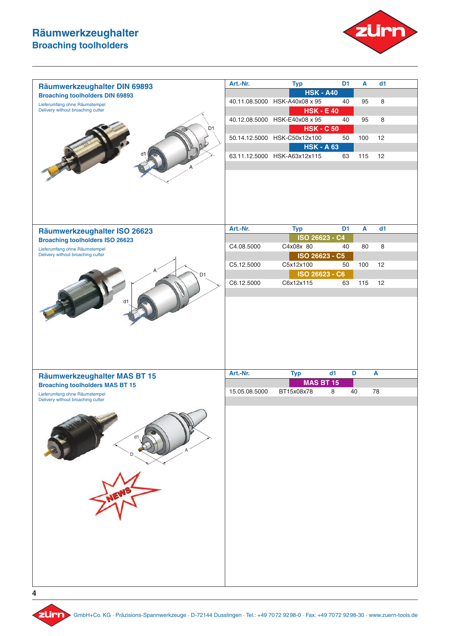

| Räumwerkzeughalter DIN 69893                                       | Art.-Nr.      | <b>Typ</b>                                         | D <sub>1</sub> | A            | d1 |  |
|--------------------------------------------------------------------|---------------|----------------------------------------------------|----------------|--------------|----|--|
| <b>Broaching toolholders DIN 69893</b>                             |               | <b>HSK - A40</b>                                   |                |              |    |  |
| Lieferumfang ohne Räumstempel                                      |               | 40.11.08.5000 HSK-A40x08 x 95                      | 40             | 95           | 8  |  |
| Delivery without broaching cutter                                  |               | <b>HSK - E 40</b>                                  |                |              |    |  |
| D <sub>1</sub>                                                     |               | 40.12.08.5000 HSK-E40x08 x 95<br><b>HSK - C 50</b> | 40             | 95           | 8  |  |
|                                                                    |               | 50.14.12.5000 HSK-C50x12x100                       | 50             | 100          | 12 |  |
|                                                                    |               | <b>HSK - A 63</b>                                  |                |              |    |  |
|                                                                    |               | 63.11.12.5000 HSK-A63x12x115                       | 63             | 115          | 12 |  |
|                                                                    |               |                                                    |                |              |    |  |
|                                                                    |               |                                                    |                |              |    |  |
| Räumwerkzeughalter ISO 26623                                       | Art.-Nr.      | <b>Typ</b><br>ISO 26623 - C4                       | D <sub>1</sub> | $\mathbf{A}$ | d1 |  |
| <b>Broaching toolholders ISO 26623</b>                             | C4.08.5000    | C4x08x 80                                          | 40             | 80           | 8  |  |
| Lieferumfang ohne Räumstempel<br>Delivery without broaching cutter |               | ISO 26623 - C5                                     |                |              |    |  |
|                                                                    | C5.12.5000    | C5x12x100                                          | 50             | 100          | 12 |  |
| D1                                                                 |               | ISO 26623 - C6                                     |                |              |    |  |
|                                                                    | C6.12.5000    | C6x12x115                                          | 63             | 115          | 12 |  |
|                                                                    |               |                                                    |                |              |    |  |
|                                                                    |               |                                                    |                |              |    |  |
| Räumwerkzeughalter MAS BT 15                                       | Art.-Nr.      | <b>Typ</b>                                         | d1             | D            | A  |  |
| <b>Broaching toolholders MAS BT 15</b>                             |               | <b>MAS BT 15</b>                                   |                |              |    |  |
| Lieferumfang ohne Räumstempel<br>Delivery without broaching cutter | 15.05.08.5000 | BT15x08x78                                         | 8              | 40           | 78 |  |
| d1                                                                 |               |                                                    |                |              |    |  |

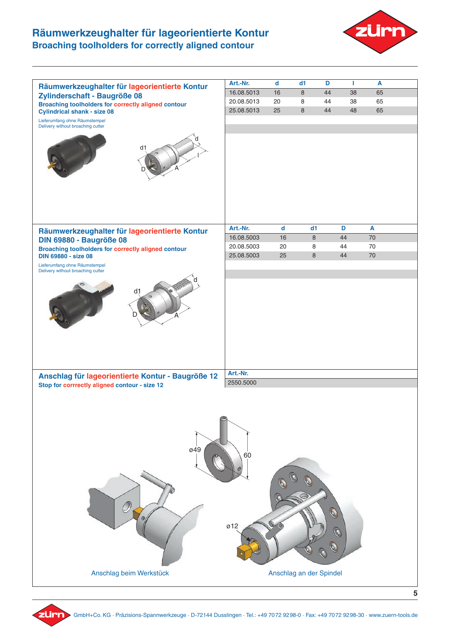### **Räumwerkzeughalter für lageorientierte Kontur Broaching toolholders for correctly aligned contour**





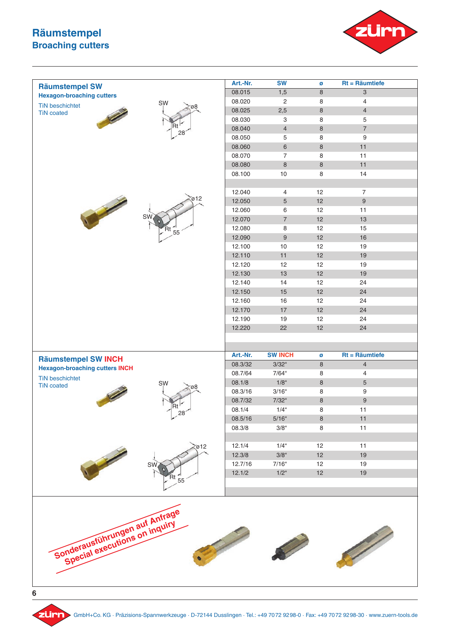### **Räumstempel Broaching cutters**





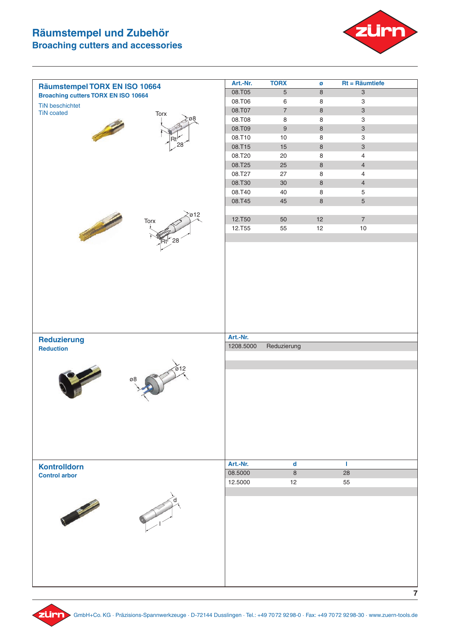# **Räumstempel und Zubehör Broaching cutters and accessories**



| Räumstempel TORX EN ISO 10664                                                                                                       | Art.-Nr.         | <b>TORX</b>      | Ø            | $Rt = Räumtiefe$                                       |                |
|-------------------------------------------------------------------------------------------------------------------------------------|------------------|------------------|--------------|--------------------------------------------------------|----------------|
| <b>Broaching cutters TORX EN ISO 10664</b>                                                                                          | 08.T05           | 5                | $\,8\,$      | $\ensuremath{\mathsf{3}}$                              |                |
| <b>TiN beschichtet</b>                                                                                                              | 08.T06           | $\,6\,$          | $\,8\,$      | $\ensuremath{\mathsf{3}}$                              |                |
| <b>TiN</b> coated<br>Torx                                                                                                           | 08.T07           | $\overline{7}$   | $\,8\,$      | $\ensuremath{\mathsf{3}}$                              |                |
|                                                                                                                                     | 08.T08           | 8                | 8            | $\ensuremath{\mathsf{3}}$                              |                |
|                                                                                                                                     | 08.T09           | $\boldsymbol{9}$ | $\,8\,$      | $\mathsf 3$                                            |                |
| 28                                                                                                                                  | 08.T10<br>08.T15 | $10$<br>15       | 8<br>$\,8\,$ | $\ensuremath{\mathsf{3}}$<br>$\ensuremath{\mathsf{3}}$ |                |
|                                                                                                                                     | 08.T20           | $20\,$           | $\,8\,$      | 4                                                      |                |
|                                                                                                                                     | 08.T25           | 25               | $\,8\,$      | $\overline{4}$                                         |                |
|                                                                                                                                     | 08.T27           | $27\,$           | $\,8\,$      | 4                                                      |                |
|                                                                                                                                     | 08.T30           | $30\,$           | $\,8\,$      | $\overline{4}$                                         |                |
|                                                                                                                                     | 08.T40           | 40               | $\,8\,$      | 5                                                      |                |
|                                                                                                                                     | 08.T45           | 45               | $\,8\,$      | 5                                                      |                |
|                                                                                                                                     |                  |                  |              |                                                        |                |
| ø12<br><b>Contract Contract Contract Contract Contract Contract Contract Contract Contract Contract Contract Contract C</b><br>Torx | 12.T50           | 50               | 12           | $\overline{7}$                                         |                |
|                                                                                                                                     | 12.T55           | 55               | 12           | $10$                                                   |                |
|                                                                                                                                     |                  |                  |              |                                                        |                |
|                                                                                                                                     |                  |                  |              |                                                        |                |
|                                                                                                                                     |                  |                  |              |                                                        |                |
|                                                                                                                                     |                  |                  |              |                                                        |                |
|                                                                                                                                     |                  |                  |              |                                                        |                |
|                                                                                                                                     |                  |                  |              |                                                        |                |
|                                                                                                                                     |                  |                  |              |                                                        |                |
|                                                                                                                                     |                  |                  |              |                                                        |                |
|                                                                                                                                     |                  |                  |              |                                                        |                |
|                                                                                                                                     |                  |                  |              |                                                        |                |
|                                                                                                                                     |                  |                  |              |                                                        |                |
| Reduzierung                                                                                                                         | Art.-Nr.         |                  |              |                                                        |                |
| <b>Reduction</b>                                                                                                                    | 1208.5000        | Reduzierung      |              |                                                        |                |
|                                                                                                                                     |                  |                  |              |                                                        |                |
| 612                                                                                                                                 |                  |                  |              |                                                        |                |
| ø8                                                                                                                                  |                  |                  |              |                                                        |                |
|                                                                                                                                     |                  |                  |              |                                                        |                |
|                                                                                                                                     |                  |                  |              |                                                        |                |
|                                                                                                                                     |                  |                  |              |                                                        |                |
|                                                                                                                                     |                  |                  |              |                                                        |                |
|                                                                                                                                     |                  |                  |              |                                                        |                |
|                                                                                                                                     |                  |                  |              |                                                        |                |
|                                                                                                                                     |                  |                  |              |                                                        |                |
|                                                                                                                                     |                  |                  |              |                                                        |                |
| <b>Kontrolldorn</b>                                                                                                                 | Art.-Nr.         | $\mathbf d$      |              | т.                                                     |                |
| <b>Control arbor</b>                                                                                                                | 08.5000          | 8                |              | 28                                                     |                |
|                                                                                                                                     | 12.5000          | 12               |              | 55                                                     |                |
|                                                                                                                                     |                  |                  |              |                                                        |                |
|                                                                                                                                     |                  |                  |              |                                                        |                |
|                                                                                                                                     |                  |                  |              |                                                        |                |
|                                                                                                                                     |                  |                  |              |                                                        |                |
|                                                                                                                                     |                  |                  |              |                                                        |                |
|                                                                                                                                     |                  |                  |              |                                                        |                |
|                                                                                                                                     |                  |                  |              |                                                        |                |
|                                                                                                                                     |                  |                  |              |                                                        |                |
|                                                                                                                                     |                  |                  |              |                                                        |                |
|                                                                                                                                     |                  |                  |              |                                                        |                |
|                                                                                                                                     |                  |                  |              |                                                        |                |
|                                                                                                                                     |                  |                  |              |                                                        | $\overline{7}$ |